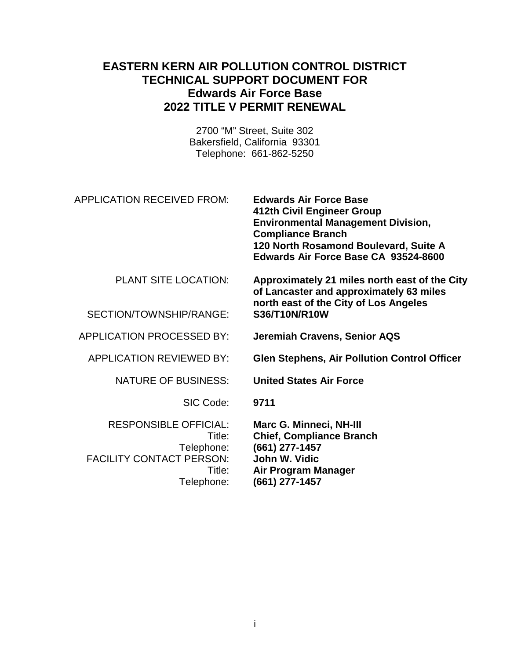## **EASTERN KERN AIR POLLUTION CONTROL DISTRICT TECHNICAL SUPPORT DOCUMENT FOR Edwards Air Force Base 2022 TITLE V PERMIT RENEWAL**

2700 "M" Street, Suite 302 Bakersfield, California 93301 Telephone: 661-862-5250

| APPLICATION RECEIVED FROM: | <b>Edwards Air Force Base</b>             |
|----------------------------|-------------------------------------------|
|                            | 412th Civil Engineer Group                |
|                            | <b>Environmental Management Division,</b> |
|                            | <b>Compliance Branch</b>                  |
|                            | 120 North Rosamond Boulevard, Suite A     |
|                            | Edwards Air Force Base CA 93524-8600      |

PLANT SITE LOCATION: **Approximately 21 miles north east of the City** 

 $SECTION/TONNSHIP/RANGF:$ 

APPLICATION PROCESSED BY: **Jeremiah Cravens, Senior AQS**

SIC Code: **9711**

RESPONSIBLE OFFICIAL: **Marc G. Minneci, NH-III FACILITY CONTACT PERSON:** 

**north east of the City of Los Angeles**

**of Lancaster and approximately 63 miles** 

APPLICATION REVIEWED BY: **Glen Stephens, Air Pollution Control Officer**

NATURE OF BUSINESS: **United States Air Force**

Title: **Chief, Compliance Branch** Telephone: **(661) 277-1457** Title: **Air Program Manager** Telephone: **(661) 277-1457**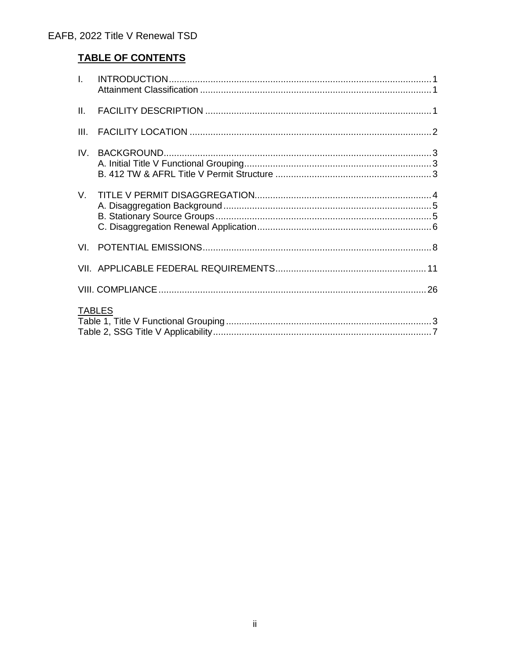# **TABLE OF CONTENTS**

| $\mathbf{L}$  |  |
|---------------|--|
| II.           |  |
| III.          |  |
| IV.           |  |
| V.            |  |
|               |  |
|               |  |
|               |  |
| <b>TABLES</b> |  |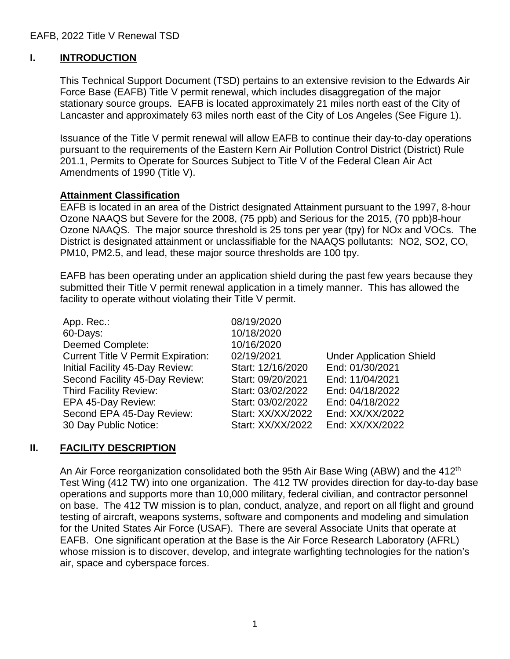## **I. INTRODUCTION**

This Technical Support Document (TSD) pertains to an extensive revision to the Edwards Air Force Base (EAFB) Title V permit renewal, which includes disaggregation of the major stationary source groups. EAFB is located approximately 21 miles north east of the City of Lancaster and approximately 63 miles north east of the City of Los Angeles (See Figure 1).

Issuance of the Title V permit renewal will allow EAFB to continue their day-to-day operations pursuant to the requirements of the Eastern Kern Air Pollution Control District (District) Rule 201.1, Permits to Operate for Sources Subject to Title V of the Federal Clean Air Act Amendments of 1990 (Title V).

### **Attainment Classification**

EAFB is located in an area of the District designated Attainment pursuant to the 1997, 8-hour Ozone NAAQS but Severe for the 2008, (75 ppb) and Serious for the 2015, (70 ppb)8-hour Ozone NAAQS. The major source threshold is 25 tons per year (tpy) for NOx and VOCs. The District is designated attainment or unclassifiable for the NAAQS pollutants: NO2, SO2, CO, PM10, PM2.5, and lead, these major source thresholds are 100 tpy.

EAFB has been operating under an application shield during the past few years because they submitted their Title V permit renewal application in a timely manner. This has allowed the facility to operate without violating their Title V permit.

| App. Rec.:                                | 08/19/2020        |                                 |
|-------------------------------------------|-------------------|---------------------------------|
| 60-Days:                                  | 10/18/2020        |                                 |
| <b>Deemed Complete:</b>                   | 10/16/2020        |                                 |
| <b>Current Title V Permit Expiration:</b> | 02/19/2021        | <b>Under Application Shield</b> |
| Initial Facility 45-Day Review:           | Start: 12/16/2020 | End: 01/30/2021                 |
| Second Facility 45-Day Review:            | Start: 09/20/2021 | End: 11/04/2021                 |
| <b>Third Facility Review:</b>             | Start: 03/02/2022 | End: 04/18/2022                 |
| EPA 45-Day Review:                        | Start: 03/02/2022 | End: 04/18/2022                 |
| Second EPA 45-Day Review:                 | Start: XX/XX/2022 | End: XX/XX/2022                 |
| 30 Day Public Notice:                     | Start: XX/XX/2022 | End: XX/XX/2022                 |
|                                           |                   |                                 |

### **II. FACILITY DESCRIPTION**

An Air Force reorganization consolidated both the 95th Air Base Wing (ABW) and the 412<sup>th</sup> Test Wing (412 TW) into one organization. The 412 TW provides direction for day-to-day base operations and supports more than 10,000 military, federal civilian, and contractor personnel on base. The 412 TW mission is to plan, conduct, analyze, and report on all flight and ground testing of aircraft, weapons systems, software and components and modeling and simulation for the United States Air Force (USAF). There are several Associate Units that operate at EAFB. One significant operation at the Base is the Air Force Research Laboratory (AFRL) whose mission is to discover, develop, and integrate warfighting technologies for the nation's air, space and cyberspace forces.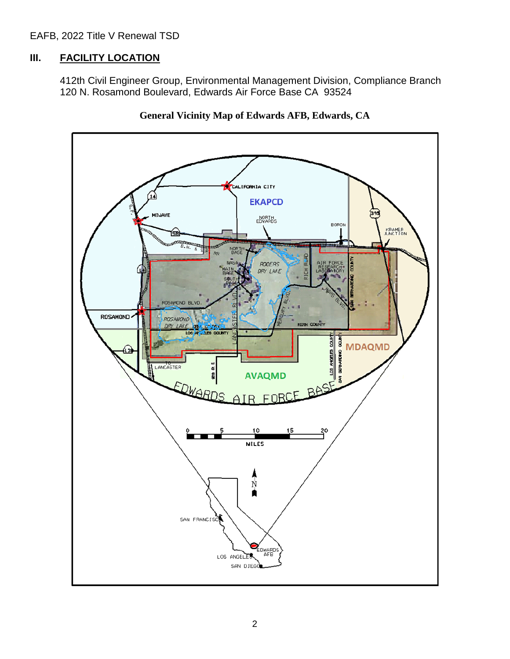EAFB, 2022 Title V Renewal TSD

### **III. FACILITY LOCATION**

412th Civil Engineer Group, Environmental Management Division, Compliance Branch 120 N. Rosamond Boulevard, Edwards Air Force Base CA 93524



**General Vicinity Map of Edwards AFB, Edwards, CA**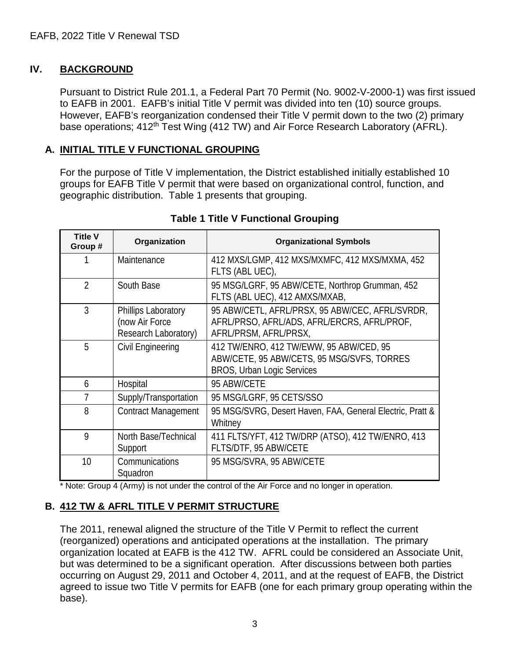## **IV. BACKGROUND**

Pursuant to District Rule 201.1, a Federal Part 70 Permit (No. 9002-V-2000-1) was first issued to EAFB in 2001. EAFB's initial Title V permit was divided into ten (10) source groups. However, EAFB's reorganization condensed their Title V permit down to the two (2) primary base operations; 412<sup>th</sup> Test Wing (412 TW) and Air Force Research Laboratory (AFRL).

### **A. INITIAL TITLE V FUNCTIONAL GROUPING**

For the purpose of Title V implementation, the District established initially established 10 groups for EAFB Title V permit that were based on organizational control, function, and geographic distribution. Table 1 presents that grouping.

| <b>Title V</b><br>Group # | Organization                                                  | <b>Organizational Symbols</b>                                                                                              |
|---------------------------|---------------------------------------------------------------|----------------------------------------------------------------------------------------------------------------------------|
|                           | Maintenance                                                   | 412 MXS/LGMP, 412 MXS/MXMFC, 412 MXS/MXMA, 452<br>FLTS (ABL UEC),                                                          |
| $\mathfrak{D}$            | South Base                                                    | 95 MSG/LGRF, 95 ABW/CETE, Northrop Grumman, 452<br>FLTS (ABL UEC), 412 AMXS/MXAB,                                          |
| 3                         | Phillips Laboratory<br>(now Air Force<br>Research Laboratory) | 95 ABW/CETL, AFRL/PRSX, 95 ABW/CEC, AFRL/SVRDR,<br>AFRL/PRSO, AFRL/ADS, AFRL/ERCRS, AFRL/PROF,<br>AFRL/PRSM, AFRL/PRSX,    |
| 5                         | Civil Engineering                                             | 412 TW/ENRO, 412 TW/EWW, 95 ABW/CED, 95<br>ABW/CETE, 95 ABW/CETS, 95 MSG/SVFS, TORRES<br><b>BROS, Urban Logic Services</b> |
| 6                         | Hospital                                                      | 95 ABW/CETE                                                                                                                |
| 7                         | Supply/Transportation                                         | 95 MSG/LGRF, 95 CETS/SSO                                                                                                   |
| 8                         | <b>Contract Management</b>                                    | 95 MSG/SVRG, Desert Haven, FAA, General Electric, Pratt &<br>Whitney                                                       |
| 9                         | North Base/Technical<br>Support                               | 411 FLTS/YFT, 412 TW/DRP (ATSO), 412 TW/ENRO, 413<br>FLTS/DTF, 95 ABW/CETE                                                 |
| 10                        | Communications<br>Squadron                                    | 95 MSG/SVRA, 95 ABW/CETE                                                                                                   |

## **Table 1 Title V Functional Grouping**

\* Note: Group 4 (Army) is not under the control of the Air Force and no longer in operation.

### **B. 412 TW & AFRL TITLE V PERMIT STRUCTURE**

The 2011, renewal aligned the structure of the Title V Permit to reflect the current (reorganized) operations and anticipated operations at the installation. The primary organization located at EAFB is the 412 TW. AFRL could be considered an Associate Unit, but was determined to be a significant operation. After discussions between both parties occurring on August 29, 2011 and October 4, 2011, and at the request of EAFB, the District agreed to issue two Title V permits for EAFB (one for each primary group operating within the base).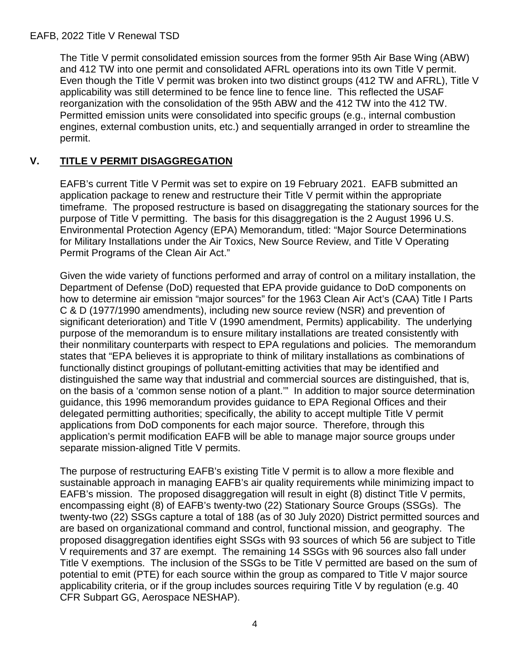The Title V permit consolidated emission sources from the former 95th Air Base Wing (ABW) and 412 TW into one permit and consolidated AFRL operations into its own Title V permit. Even though the Title V permit was broken into two distinct groups (412 TW and AFRL), Title V applicability was still determined to be fence line to fence line. This reflected the USAF reorganization with the consolidation of the 95th ABW and the 412 TW into the 412 TW. Permitted emission units were consolidated into specific groups (e.g., internal combustion engines, external combustion units, etc.) and sequentially arranged in order to streamline the permit.

## **V. TITLE V PERMIT DISAGGREGATION**

EAFB's current Title V Permit was set to expire on 19 February 2021. EAFB submitted an application package to renew and restructure their Title V permit within the appropriate timeframe. The proposed restructure is based on disaggregating the stationary sources for the purpose of Title V permitting. The basis for this disaggregation is the 2 August 1996 U.S. Environmental Protection Agency (EPA) Memorandum, titled: "Major Source Determinations for Military Installations under the Air Toxics, New Source Review, and Title V Operating Permit Programs of the Clean Air Act."

Given the wide variety of functions performed and array of control on a military installation, the Department of Defense (DoD) requested that EPA provide guidance to DoD components on how to determine air emission "major sources" for the 1963 Clean Air Act's (CAA) Title I Parts C & D (1977/1990 amendments), including new source review (NSR) and prevention of significant deterioration) and Title V (1990 amendment, Permits) applicability. The underlying purpose of the memorandum is to ensure military installations are treated consistently with their nonmilitary counterparts with respect to EPA regulations and policies. The memorandum states that "EPA believes it is appropriate to think of military installations as combinations of functionally distinct groupings of pollutant-emitting activities that may be identified and distinguished the same way that industrial and commercial sources are distinguished, that is, on the basis of a 'common sense notion of a plant.'" In addition to major source determination guidance, this 1996 memorandum provides guidance to EPA Regional Offices and their delegated permitting authorities; specifically, the ability to accept multiple Title V permit applications from DoD components for each major source. Therefore, through this application's permit modification EAFB will be able to manage major source groups under separate mission-aligned Title V permits.

The purpose of restructuring EAFB's existing Title V permit is to allow a more flexible and sustainable approach in managing EAFB's air quality requirements while minimizing impact to EAFB's mission. The proposed disaggregation will result in eight (8) distinct Title V permits, encompassing eight (8) of EAFB's twenty-two (22) Stationary Source Groups (SSGs). The twenty-two (22) SSGs capture a total of 188 (as of 30 July 2020) District permitted sources and are based on organizational command and control, functional mission, and geography. The proposed disaggregation identifies eight SSGs with 93 sources of which 56 are subject to Title V requirements and 37 are exempt. The remaining 14 SSGs with 96 sources also fall under Title V exemptions. The inclusion of the SSGs to be Title V permitted are based on the sum of potential to emit (PTE) for each source within the group as compared to Title V major source applicability criteria, or if the group includes sources requiring Title V by regulation (e.g. 40 CFR Subpart GG, Aerospace NESHAP).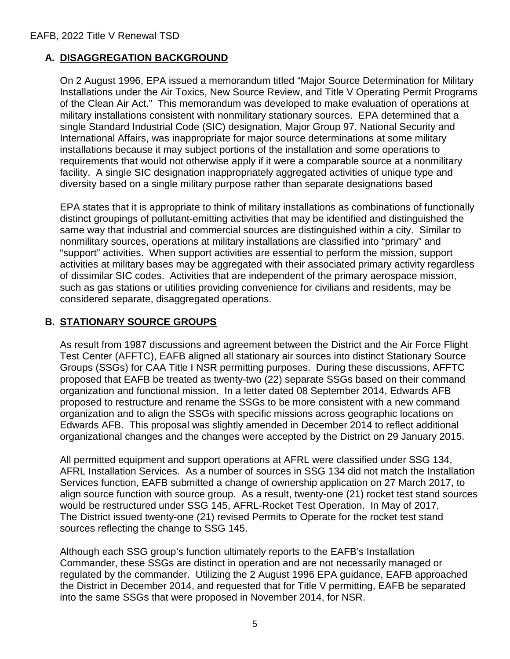## **A. DISAGGREGATION BACKGROUND**

On 2 August 1996, EPA issued a memorandum titled "Major Source Determination for Military Installations under the Air Toxics, New Source Review, and Title V Operating Permit Programs of the Clean Air Act." This memorandum was developed to make evaluation of operations at military installations consistent with nonmilitary stationary sources. EPA determined that a single Standard Industrial Code (SIC) designation, Major Group 97, National Security and International Affairs, was inappropriate for major source determinations at some military installations because it may subject portions of the installation and some operations to requirements that would not otherwise apply if it were a comparable source at a nonmilitary facility. A single SIC designation inappropriately aggregated activities of unique type and diversity based on a single military purpose rather than separate designations based

EPA states that it is appropriate to think of military installations as combinations of functionally distinct groupings of pollutant-emitting activities that may be identified and distinguished the same way that industrial and commercial sources are distinguished within a city. Similar to nonmilitary sources, operations at military installations are classified into "primary" and "support" activities. When support activities are essential to perform the mission, support activities at military bases may be aggregated with their associated primary activity regardless of dissimilar SIC codes. Activities that are independent of the primary aerospace mission, such as gas stations or utilities providing convenience for civilians and residents, may be considered separate, disaggregated operations.

## **B. STATIONARY SOURCE GROUPS**

As result from 1987 discussions and agreement between the District and the Air Force Flight Test Center (AFFTC), EAFB aligned all stationary air sources into distinct Stationary Source Groups (SSGs) for CAA Title I NSR permitting purposes. During these discussions, AFFTC proposed that EAFB be treated as twenty-two (22) separate SSGs based on their command organization and functional mission. In a letter dated 08 September 2014, Edwards AFB proposed to restructure and rename the SSGs to be more consistent with a new command organization and to align the SSGs with specific missions across geographic locations on Edwards AFB. This proposal was slightly amended in December 2014 to reflect additional organizational changes and the changes were accepted by the District on 29 January 2015.

All permitted equipment and support operations at AFRL were classified under SSG 134, AFRL Installation Services. As a number of sources in SSG 134 did not match the Installation Services function, EAFB submitted a change of ownership application on 27 March 2017, to align source function with source group. As a result, twenty-one (21) rocket test stand sources would be restructured under SSG 145, AFRL-Rocket Test Operation. In May of 2017, The District issued twenty-one (21) revised Permits to Operate for the rocket test stand sources reflecting the change to SSG 145.

Although each SSG group's function ultimately reports to the EAFB's Installation Commander, these SSGs are distinct in operation and are not necessarily managed or regulated by the commander. Utilizing the 2 August 1996 EPA guidance, EAFB approached the District in December 2014, and requested that for Title V permitting, EAFB be separated into the same SSGs that were proposed in November 2014, for NSR.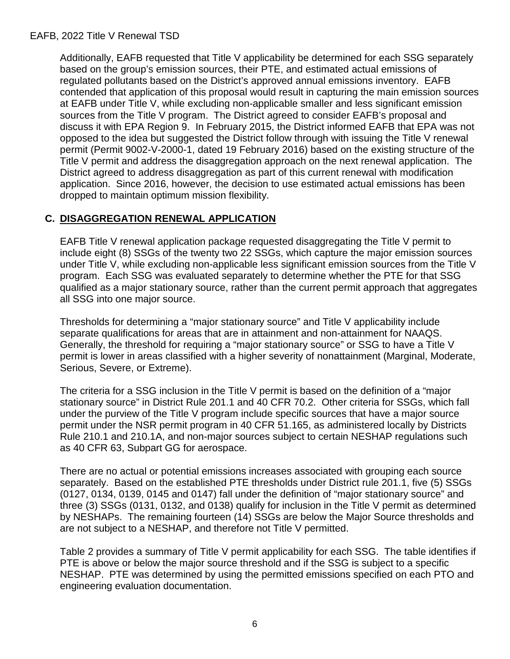### EAFB, 2022 Title V Renewal TSD

Additionally, EAFB requested that Title V applicability be determined for each SSG separately based on the group's emission sources, their PTE, and estimated actual emissions of regulated pollutants based on the District's approved annual emissions inventory. EAFB contended that application of this proposal would result in capturing the main emission sources at EAFB under Title V, while excluding non-applicable smaller and less significant emission sources from the Title V program. The District agreed to consider EAFB's proposal and discuss it with EPA Region 9. In February 2015, the District informed EAFB that EPA was not opposed to the idea but suggested the District follow through with issuing the Title V renewal permit (Permit 9002-V-2000-1, dated 19 February 2016) based on the existing structure of the Title V permit and address the disaggregation approach on the next renewal application. The District agreed to address disaggregation as part of this current renewal with modification application. Since 2016, however, the decision to use estimated actual emissions has been dropped to maintain optimum mission flexibility.

## **C. DISAGGREGATION RENEWAL APPLICATION**

EAFB Title V renewal application package requested disaggregating the Title V permit to include eight (8) SSGs of the twenty two 22 SSGs, which capture the major emission sources under Title V, while excluding non-applicable less significant emission sources from the Title V program. Each SSG was evaluated separately to determine whether the PTE for that SSG qualified as a major stationary source, rather than the current permit approach that aggregates all SSG into one major source.

Thresholds for determining a "major stationary source" and Title V applicability include separate qualifications for areas that are in attainment and non-attainment for NAAQS. Generally, the threshold for requiring a "major stationary source" or SSG to have a Title V permit is lower in areas classified with a higher severity of nonattainment (Marginal, Moderate, Serious, Severe, or Extreme).

The criteria for a SSG inclusion in the Title V permit is based on the definition of a "major stationary source" in District Rule 201.1 and 40 CFR 70.2. Other criteria for SSGs, which fall under the purview of the Title V program include specific sources that have a major source permit under the NSR permit program in 40 CFR 51.165, as administered locally by Districts Rule 210.1 and 210.1A, and non-major sources subject to certain NESHAP regulations such as 40 CFR 63, Subpart GG for aerospace.

There are no actual or potential emissions increases associated with grouping each source separately. Based on the established PTE thresholds under District rule 201.1, five (5) SSGs (0127, 0134, 0139, 0145 and 0147) fall under the definition of "major stationary source" and three (3) SSGs (0131, 0132, and 0138) qualify for inclusion in the Title V permit as determined by NESHAPs. The remaining fourteen (14) SSGs are below the Major Source thresholds and are not subject to a NESHAP, and therefore not Title V permitted.

Table 2 provides a summary of Title V permit applicability for each SSG. The table identifies if PTE is above or below the major source threshold and if the SSG is subject to a specific NESHAP. PTE was determined by using the permitted emissions specified on each PTO and engineering evaluation documentation.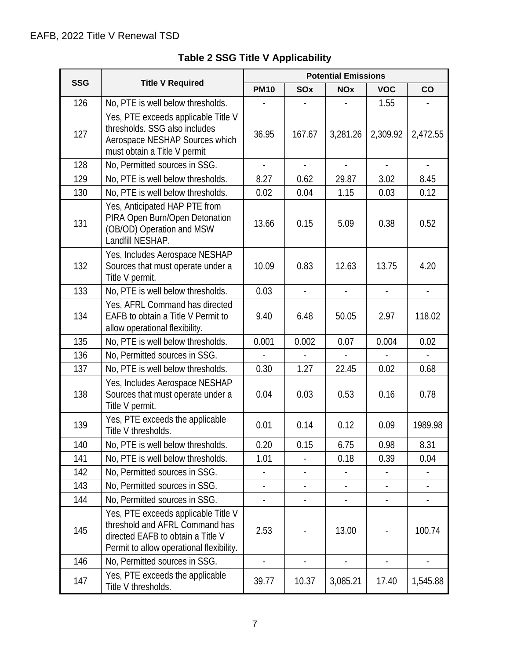|            |                                                                                                                                                        | <b>Potential Emissions</b> |                |                |                |                |  |  |
|------------|--------------------------------------------------------------------------------------------------------------------------------------------------------|----------------------------|----------------|----------------|----------------|----------------|--|--|
| <b>SSG</b> | <b>Title V Required</b>                                                                                                                                | <b>PM10</b>                | <b>SOx</b>     | <b>NOx</b>     | <b>VOC</b>     | $\mathsf{co}$  |  |  |
| 126        | No, PTE is well below thresholds.                                                                                                                      |                            |                |                | 1.55           |                |  |  |
| 127        | Yes, PTE exceeds applicable Title V<br>thresholds. SSG also includes<br>Aerospace NESHAP Sources which<br>must obtain a Title V permit                 | 36.95                      | 167.67         | 3,281.26       | 2,309.92       | 2,472.55       |  |  |
| 128        | No, Permitted sources in SSG.                                                                                                                          | $\overline{a}$             | $\overline{a}$ | $\overline{a}$ | ÷.             | $\omega$       |  |  |
| 129        | No, PTE is well below thresholds.                                                                                                                      | 8.27                       | 0.62           | 29.87          | 3.02           | 8.45           |  |  |
| 130        | No, PTE is well below thresholds.                                                                                                                      | 0.02                       | 0.04           | 1.15           | 0.03           | 0.12           |  |  |
| 131        | Yes, Anticipated HAP PTE from<br>PIRA Open Burn/Open Detonation<br>(OB/OD) Operation and MSW<br>Landfill NESHAP.                                       | 13.66                      | 0.15           | 5.09           | 0.38           | 0.52           |  |  |
| 132        | Yes, Includes Aerospace NESHAP<br>Sources that must operate under a<br>Title V permit.                                                                 | 10.09                      | 0.83           | 12.63          | 13.75          | 4.20           |  |  |
| 133        | No, PTE is well below thresholds.                                                                                                                      | 0.03                       | $\overline{a}$ | $\overline{a}$ | $\overline{a}$ | $\overline{a}$ |  |  |
| 134        | Yes, AFRL Command has directed<br>EAFB to obtain a Title V Permit to<br>allow operational flexibility.                                                 | 9.40                       | 6.48           | 50.05          | 2.97           | 118.02         |  |  |
| 135        | No, PTE is well below thresholds.                                                                                                                      | 0.001                      | 0.002          | 0.07           | 0.004          | 0.02           |  |  |
| 136        | No, Permitted sources in SSG.                                                                                                                          |                            |                |                |                |                |  |  |
| 137        | No, PTE is well below thresholds.                                                                                                                      | 0.30                       | 1.27           | 22.45          | 0.02           | 0.68           |  |  |
| 138        | Yes, Includes Aerospace NESHAP<br>Sources that must operate under a<br>Title V permit.                                                                 | 0.04                       | 0.03           | 0.53           | 0.16           | 0.78           |  |  |
| 139        | Yes, PTE exceeds the applicable<br>Title V thresholds.                                                                                                 | 0.01                       | 0.14           | 0.12           | 0.09           | 1989.98        |  |  |
| 140        | No, PTE is well below thresholds.                                                                                                                      | 0.20                       | 0.15           | 6.75           | 0.98           | 8.31           |  |  |
| 141        | No, PTE is well below thresholds.                                                                                                                      | 1.01                       |                | 0.18           | 0.39           | 0.04           |  |  |
| 142        | No, Permitted sources in SSG.                                                                                                                          |                            |                |                |                |                |  |  |
| 143        | No, Permitted sources in SSG.                                                                                                                          |                            |                |                |                |                |  |  |
| 144        | No, Permitted sources in SSG.                                                                                                                          |                            |                |                |                |                |  |  |
| 145        | Yes, PTE exceeds applicable Title V<br>threshold and AFRL Command has<br>directed EAFB to obtain a Title V<br>Permit to allow operational flexibility. | 2.53                       |                | 13.00          |                | 100.74         |  |  |
| 146        | No, Permitted sources in SSG.                                                                                                                          |                            |                |                |                |                |  |  |
| 147        | Yes, PTE exceeds the applicable<br>Title V thresholds.                                                                                                 | 39.77                      | 10.37          | 3,085.21       | 17.40          | 1,545.88       |  |  |

# **Table 2 SSG Title V Applicability**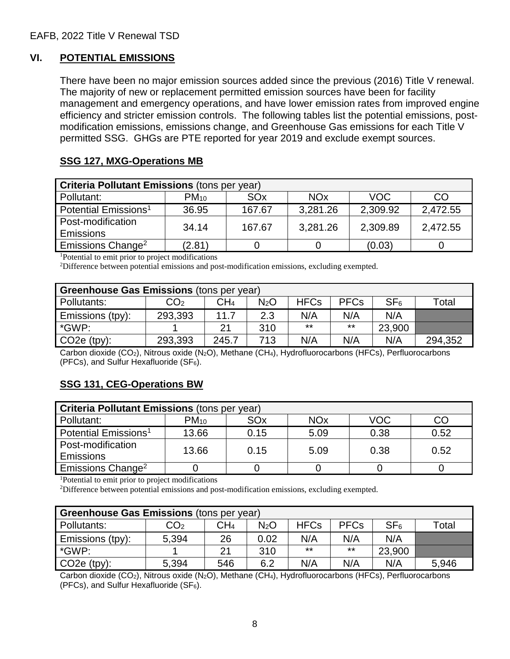## **VI. POTENTIAL EMISSIONS**

There have been no major emission sources added since the previous (2016) Title V renewal. The majority of new or replacement permitted emission sources have been for facility management and emergency operations, and have lower emission rates from improved engine efficiency and stricter emission controls. The following tables list the potential emissions, postmodification emissions, emissions change, and Greenhouse Gas emissions for each Title V permitted SSG. GHGs are PTE reported for year 2019 and exclude exempt sources.

## **SSG 127, MXG-Operations MB**

| <b>Criteria Pollutant Emissions (tons per year)</b> |           |                 |                       |            |          |  |  |  |  |
|-----------------------------------------------------|-----------|-----------------|-----------------------|------------|----------|--|--|--|--|
| Pollutant:                                          | $PM_{10}$ | SO <sub>x</sub> | <b>NO<sub>x</sub></b> | <b>VOC</b> | CO       |  |  |  |  |
| Potential Emissions <sup>1</sup>                    | 36.95     | 167.67          | 3,281.26              | 2,309.92   | 2,472.55 |  |  |  |  |
| Post-modification                                   | 34.14     | 167.67          | 3,281.26              | 2,309.89   | 2,472.55 |  |  |  |  |
| <b>Emissions</b>                                    |           |                 |                       |            |          |  |  |  |  |
| Emissions Change <sup>2</sup>                       | (2.81)    |                 |                       | (0.03)     |          |  |  |  |  |

1 Potential to emit prior to project modifications

2 Difference between potential emissions and post-modification emissions, excluding exempted.

| <b>Greenhouse Gas Emissions (tons per year)</b> |                   |       |                  |             |             |                 |         |  |
|-------------------------------------------------|-------------------|-------|------------------|-------------|-------------|-----------------|---------|--|
| Pollutants:                                     | $\mathsf{CO_{2}}$ | CH4   | N <sub>2</sub> O | <b>HFCs</b> | <b>PFCs</b> | SF <sub>6</sub> | ™otal   |  |
| Emissions (tpy):                                | 293,393           | 11.7  | 2.3              | N/A         | N/A         | N/A             |         |  |
| *GWP:                                           |                   | 21    | 310              | $***$       | $***$       | 23,900          |         |  |
| $CO2e$ (tpy):                                   | 293,393           | 245.7 | 713              | N/A         | N/A         | N/A             | 294,352 |  |

Carbon dioxide (CO<sub>2</sub>), Nitrous oxide (N<sub>2</sub>O), Methane (CH<sub>4</sub>), Hydrofluorocarbons (HFCs), Perfluorocarbons (PFCs), and Sulfur Hexafluoride (SF6).

## **SSG 131, CEG-Operations BW**

| <b>Criteria Pollutant Emissions (tons per year)</b> |           |                 |                       |            |      |  |  |  |  |
|-----------------------------------------------------|-----------|-----------------|-----------------------|------------|------|--|--|--|--|
| Pollutant:                                          | $PM_{10}$ | SO <sub>x</sub> | <b>NO<sub>x</sub></b> | <b>VOC</b> | CC   |  |  |  |  |
| Potential Emissions <sup>1</sup>                    | 13.66     | 0.15            | 5.09                  | 0.38       | 0.52 |  |  |  |  |
| Post-modification                                   | 13.66     | 0.15            | 5.09                  | 0.38       | 0.52 |  |  |  |  |
| <b>Emissions</b>                                    |           |                 |                       |            |      |  |  |  |  |
| Emissions Change <sup>2</sup>                       |           |                 |                       |            |      |  |  |  |  |

1 Potential to emit prior to project modifications

<sup>2</sup>Difference between potential emissions and post-modification emissions, excluding exempted.

| <b>Greenhouse Gas Emissions</b> (tons per year) |                 |                 |                  |             |             |                 |                  |  |  |
|-------------------------------------------------|-----------------|-----------------|------------------|-------------|-------------|-----------------|------------------|--|--|
| Pollutants:                                     | CO <sub>2</sub> | CH <sub>4</sub> | N <sub>2</sub> O | <b>HFCs</b> | <b>PFCs</b> | SF <sub>6</sub> | $\mathsf{Total}$ |  |  |
| <b>Emissions (tpy):</b>                         | 5.394           | 26              | 0.02             | N/A         | N/A         | N/A             |                  |  |  |
| *GWP:                                           |                 | 21              | 310              | $***$       | $***$       | 23,900          |                  |  |  |
| $CO2e$ (tpy):                                   | 5,394           | 546             | 6.2              | N/A         | N/A         | N/A             | 5.946            |  |  |

Carbon dioxide (CO<sub>2</sub>), Nitrous oxide (N<sub>2</sub>O), Methane (CH<sub>4</sub>), Hydrofluorocarbons (HFCs), Perfluorocarbons (PFCs), and Sulfur Hexafluoride ( $SF<sub>6</sub>$ ).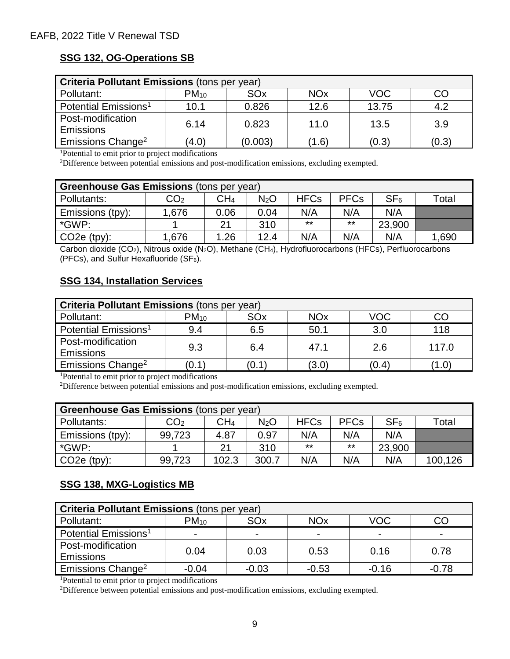## **SSG 132, OG-Operations SB**

| <b>Criteria Pollutant Emissions (tons per year)</b> |           |                 |                       |            |       |  |  |  |  |
|-----------------------------------------------------|-----------|-----------------|-----------------------|------------|-------|--|--|--|--|
| Pollutant:                                          | $PM_{10}$ | SO <sub>x</sub> | <b>NO<sub>x</sub></b> | <b>VOC</b> | CO    |  |  |  |  |
| Potential Emissions <sup>1</sup>                    | 10.1      | 0.826           | 12.6                  | 13.75      | 4.2   |  |  |  |  |
| Post-modification                                   | 6.14      | 0.823           | 11.0                  | 13.5       | 3.9   |  |  |  |  |
| <b>Emissions</b>                                    |           |                 |                       |            |       |  |  |  |  |
| Emissions Change <sup>2</sup>                       | (4.0)     | (0.003)         | $^{\prime}$ 1.6)      | (0.3)      | (0.3) |  |  |  |  |

1 Potential to emit prior to project modifications

2 Difference between potential emissions and post-modification emissions, excluding exempted.

| Greenhouse Gas Emissions (tons per year) |                   |      |                  |             |             |                 |       |  |  |
|------------------------------------------|-------------------|------|------------------|-------------|-------------|-----------------|-------|--|--|
| Pollutants:                              | $\mathsf{CO_{2}}$ | CH4  | N <sub>2</sub> O | <b>HFCs</b> | <b>PFCs</b> | SF <sub>6</sub> | ™otal |  |  |
| Emissions (tpy):                         | 1,676             | 0.06 | 0.04             | N/A         | N/A         | N/A             |       |  |  |
| *GWP:                                    |                   | 21   | 310              | $***$       | $***$       | 23,900          |       |  |  |
| $CO2e$ (tpy):                            | 1,676             | 1.26 | 12.4             | N/A         | N/A         | N/A             | 1,690 |  |  |

Carbon dioxide (CO<sub>2</sub>), Nitrous oxide (N<sub>2</sub>O), Methane (CH<sub>4</sub>), Hydrofluorocarbons (HFCs), Perfluorocarbons (PFCs), and Sulfur Hexafluoride ( $SF<sub>6</sub>$ ).

## **SSG 134, Installation Services**

| <b>Criteria Pollutant Emissions (tons per year)</b> |           |       |                       |            |                  |  |  |  |  |
|-----------------------------------------------------|-----------|-------|-----------------------|------------|------------------|--|--|--|--|
| Pollutant:                                          | $PM_{10}$ | SOx   | <b>NO<sub>x</sub></b> | <b>VOC</b> |                  |  |  |  |  |
| Potential Emissions <sup>1</sup>                    | 9.4       | 6.5   | 50.1                  | 3.0        | 118              |  |  |  |  |
| Post-modification<br><b>Emissions</b>               | 9.3       | 6.4   | 47.1                  | 2.6        | 117.0            |  |  |  |  |
| Emissions Change <sup>2</sup>                       | (0.1)     | (0.1) | (3.0)                 | (0.4)      | $^{\prime}$ 1.0) |  |  |  |  |

1 Potential to emit prior to project modifications

2 Difference between potential emissions and post-modification emissions, excluding exempted.

| <b>Greenhouse Gas Emissions (tons per year)</b> |                 |                 |                  |             |             |                 |             |
|-------------------------------------------------|-----------------|-----------------|------------------|-------------|-------------|-----------------|-------------|
| Pollutants:                                     | CO <sub>2</sub> | CH <sub>4</sub> | N <sub>2</sub> O | <b>HFCs</b> | <b>PFCs</b> | SF <sub>6</sub> | $\tau$ otal |
| Emissions (tpy):                                | 99,723          | 4.87            | 0.97             | N/A         | N/A         | N/A             |             |
| *GWP:                                           |                 | 21              | 310              | $***$       | $***$       | 23,900          |             |
| $CO2e$ (tpy):                                   | 99,723          | 102.3           | 300.7            | N/A         | N/A         | N/A             | 100,126     |

## **SSG 138, MXG-Logistics MB**

| <b>Criteria Pollutant Emissions (tons per year)</b> |           |         |                       |         |         |  |  |
|-----------------------------------------------------|-----------|---------|-----------------------|---------|---------|--|--|
| Pollutant:                                          | $PM_{10}$ | SOx     | <b>NO<sub>x</sub></b> | VOC     |         |  |  |
| Potential Emissions <sup>1</sup>                    |           |         |                       |         |         |  |  |
| Post-modification                                   | 0.04      | 0.03    | 0.53                  | 0.16    | 0.78    |  |  |
| <b>Emissions</b>                                    |           |         |                       |         |         |  |  |
| Emissions Change <sup>2</sup>                       | $-0.04$   | $-0.03$ | $-0.53$               | $-0.16$ | $-0.78$ |  |  |

1 Potential to emit prior to project modifications

2 Difference between potential emissions and post-modification emissions, excluding exempted.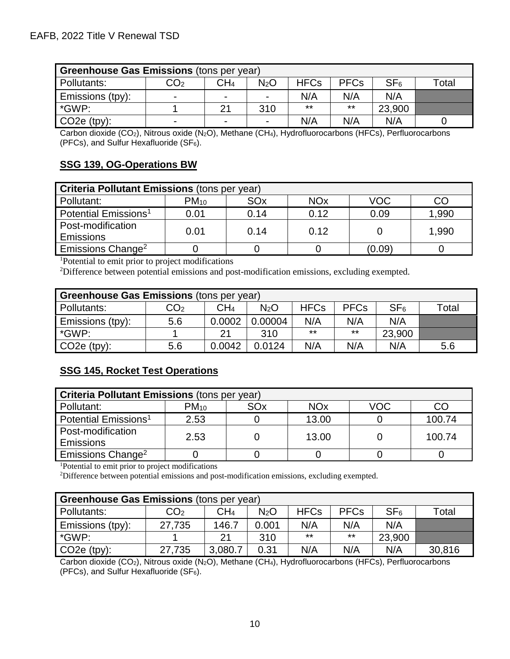| Greenhouse Gas Emissions (tons per year) |                          |                          |                  |             |             |                 |      |
|------------------------------------------|--------------------------|--------------------------|------------------|-------------|-------------|-----------------|------|
| Pollutants:                              | CO2                      | CH <sub>4</sub>          | N <sub>2</sub> O | <b>HFCs</b> | <b>PFCs</b> | SF <sub>6</sub> | otal |
| Emissions (tpy):                         | $\overline{\phantom{0}}$ | $\overline{\phantom{0}}$ |                  | N/A         | N/A         | N/A             |      |
| *GWP:                                    |                          | 21                       | 310              | $***$       | $***$       | 23,900          |      |
| $CO2e$ (tpy):                            | $\overline{\phantom{0}}$ | $\blacksquare$           |                  | N/A         | N/A         | N/A             |      |

Carbon dioxide (CO<sub>2</sub>), Nitrous oxide (N<sub>2</sub>O), Methane (CH<sub>4</sub>), Hydrofluorocarbons (HFCs), Perfluorocarbons (PFCs), and Sulfur Hexafluoride (SF $_6$ ).

## **SSG 139, OG-Operations BW**

| <b>Criteria Pollutant Emissions (tons per year)</b> |           |      |                       |            |       |  |  |
|-----------------------------------------------------|-----------|------|-----------------------|------------|-------|--|--|
| Pollutant:                                          | $PM_{10}$ | SOx  | <b>NO<sub>x</sub></b> | <b>VOC</b> | CO    |  |  |
| Potential Emissions <sup>1</sup>                    | 0.01      | 0.14 | 0.12                  | 0.09       | 1,990 |  |  |
| Post-modification<br><b>Emissions</b>               | 0.01      | 0.14 | 0.12                  |            | 1,990 |  |  |
| Emissions Change <sup>2</sup>                       |           |      |                       | (0.09)     |       |  |  |

1 Potential to emit prior to project modifications

<sup>2</sup>Difference between potential emissions and post-modification emissions, excluding exempted.

| <b>Greenhouse Gas Emissions (tons per year)</b> |                 |        |         |             |             |                 |                  |
|-------------------------------------------------|-----------------|--------|---------|-------------|-------------|-----------------|------------------|
| Pollutants:                                     | CO <sub>2</sub> | CH4    | $N_2O$  | <b>HFCs</b> | <b>PFCs</b> | SF <sub>6</sub> | $\mathsf{Total}$ |
| Emissions (tpy):                                | 5.6             | 0.0002 | 0.00004 | N/A         | N/A         | N/A             |                  |
| *GWP:                                           |                 | 21     | 310     | $***$       | $***$       | 23,900          |                  |
| $CO2e$ (tpy):                                   | 5.6             | 0.0042 | 0.0124  | N/A         | N/A         | N/A             | 5.6              |

## **SSG 145, Rocket Test Operations**

| <b>Criteria Pollutant Emissions (tons per year)</b> |           |                 |                       |     |        |  |  |
|-----------------------------------------------------|-----------|-----------------|-----------------------|-----|--------|--|--|
| Pollutant:                                          | $PM_{10}$ | SO <sub>x</sub> | <b>NO<sub>x</sub></b> | VOC |        |  |  |
| Potential Emissions <sup>1</sup>                    | 2.53      |                 | 13.00                 |     | 100.74 |  |  |
| Post-modification                                   | 2.53      |                 | 13.00                 |     | 100.74 |  |  |
| <b>Emissions</b>                                    |           |                 |                       |     |        |  |  |
| Emissions Change <sup>2</sup>                       |           |                 |                       |     |        |  |  |

1 Potential to emit prior to project modifications

2 Difference between potential emissions and post-modification emissions, excluding exempted.

| Greenhouse Gas Emissions (tons per year) |                   |         |                  |             |             |                 |        |
|------------------------------------------|-------------------|---------|------------------|-------------|-------------|-----------------|--------|
| Pollutants:                              | $\mathsf{CO_{2}}$ | CH4     | N <sub>2</sub> O | <b>HFCs</b> | <b>PFCs</b> | SF <sub>6</sub> | Total  |
| Emissions (tpy):                         | 27,735            | 146.7   | 0.001            | N/A         | N/A         | N/A             |        |
| *GWP:                                    |                   | 21      | 310              | $***$       | $***$       | 23,900          |        |
| $CO2e$ (tpy):                            | 27,735            | 3,080.7 | 0.31             | N/A         | N/A         | N/A             | 30,816 |

Carbon dioxide (CO<sub>2</sub>), Nitrous oxide (N<sub>2</sub>O), Methane (CH<sub>4</sub>), Hydrofluorocarbons (HFCs), Perfluorocarbons (PFCs), and Sulfur Hexafluoride (SF6).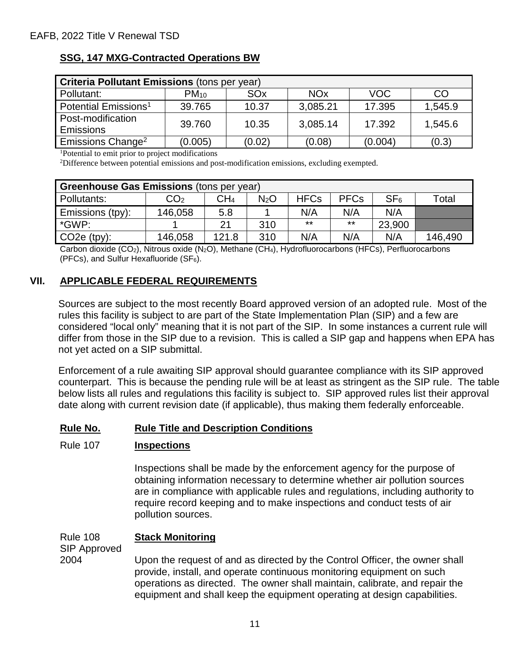## **SSG, 147 MXG-Contracted Operations BW**

| <b>Criteria Pollutant Emissions (tons per year)</b> |           |                 |                       |         |         |  |  |
|-----------------------------------------------------|-----------|-----------------|-----------------------|---------|---------|--|--|
| Pollutant:                                          | $PM_{10}$ | SO <sub>x</sub> | <b>NO<sub>x</sub></b> | VOC     | CO      |  |  |
| Potential Emissions <sup>1</sup>                    | 39.765    | 10.37           | 3,085.21              | 17.395  | 1,545.9 |  |  |
| Post-modification                                   | 39.760    | 10.35           | 3,085.14              | 17.392  | 1,545.6 |  |  |
| <b>Emissions</b>                                    |           |                 |                       |         |         |  |  |
| Emissions Change <sup>2</sup>                       | (0.005)   | (0.02)          | (0.08)                | (0.004) | (0.3)   |  |  |

1 Potential to emit prior to project modifications

2 Difference between potential emissions and post-modification emissions, excluding exempted.

| Greenhouse Gas Emissions (tons per year) |                   |                 |                  |             |             |                 |                     |
|------------------------------------------|-------------------|-----------------|------------------|-------------|-------------|-----------------|---------------------|
| Pollutants:                              | $\mathsf{CO_{2}}$ | CH <sub>4</sub> | N <sub>2</sub> O | <b>HFCs</b> | <b>PFCs</b> | SF <sub>6</sub> | $\mathsf{^{To}tal}$ |
| Emissions (tpy):                         | 146,058           | 5.8             |                  | N/A         | N/A         | N/A             |                     |
| *GWP:                                    |                   | 21              | 310              | $***$       | $***$       | 23,900          |                     |
| $CO2e$ (tpy):                            | 146,058           | 121.8           | 310              | N/A         | N/A         | N/A             | 146,490             |

Carbon dioxide (CO<sub>2</sub>), Nitrous oxide (N<sub>2</sub>O), Methane (CH<sub>4</sub>), Hydrofluorocarbons (HFCs), Perfluorocarbons (PFCs), and Sulfur Hexafluoride (SF6).

## **VII. APPLICABLE FEDERAL REQUIREMENTS**

Sources are subject to the most recently Board approved version of an adopted rule. Most of the rules this facility is subject to are part of the State Implementation Plan (SIP) and a few are considered "local only" meaning that it is not part of the SIP. In some instances a current rule will differ from those in the SIP due to a revision. This is called a SIP gap and happens when EPA has not yet acted on a SIP submittal.

Enforcement of a rule awaiting SIP approval should guarantee compliance with its SIP approved counterpart. This is because the pending rule will be at least as stringent as the SIP rule. The table below lists all rules and regulations this facility is subject to. SIP approved rules list their approval date along with current revision date (if applicable), thus making them federally enforceable.

### **Rule No. Rule Title and Description Conditions**

### Rule 107 **Inspections**

Inspections shall be made by the enforcement agency for the purpose of obtaining information necessary to determine whether air pollution sources are in compliance with applicable rules and regulations, including authority to require record keeping and to make inspections and conduct tests of air pollution sources.

#### Rule 108 **Stack Monitoring**

SIP Approved

2004

Upon the request of and as directed by the Control Officer, the owner shall provide, install, and operate continuous monitoring equipment on such operations as directed. The owner shall maintain, calibrate, and repair the equipment and shall keep the equipment operating at design capabilities.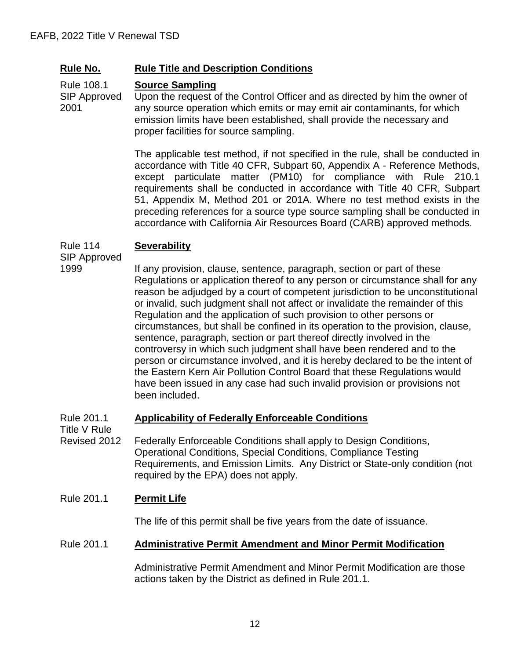Rule 108.1 **Source Sampling**

SIP Approved 2001 Upon the request of the Control Officer and as directed by him the owner of any source operation which emits or may emit air contaminants, for which emission limits have been established, shall provide the necessary and proper facilities for source sampling.

> The applicable test method, if not specified in the rule, shall be conducted in accordance with Title 40 CFR, Subpart 60, Appendix A - Reference Methods, except particulate matter (PM10) for compliance with Rule 210.1 requirements shall be conducted in accordance with Title 40 CFR, Subpart 51, Appendix M, Method 201 or 201A. Where no test method exists in the preceding references for a source type source sampling shall be conducted in accordance with California Air Resources Board (CARB) approved methods.

#### Rule 114 **Severability**

SIP Approved 1999

If any provision, clause, sentence, paragraph, section or part of these Regulations or application thereof to any person or circumstance shall for any reason be adjudged by a court of competent jurisdiction to be unconstitutional or invalid, such judgment shall not affect or invalidate the remainder of this Regulation and the application of such provision to other persons or circumstances, but shall be confined in its operation to the provision, clause, sentence, paragraph, section or part thereof directly involved in the controversy in which such judgment shall have been rendered and to the person or circumstance involved, and it is hereby declared to be the intent of the Eastern Kern Air Pollution Control Board that these Regulations would have been issued in any case had such invalid provision or provisions not been included.

#### Rule 201.1 **Applicability of Federally Enforceable Conditions**

Title V Rule

Revised 2012 Federally Enforceable Conditions shall apply to Design Conditions, Operational Conditions, Special Conditions, Compliance Testing Requirements, and Emission Limits. Any District or State-only condition (not required by the EPA) does not apply.

## Rule 201.1 **Permit Life**

The life of this permit shall be five years from the date of issuance.

## Rule 201.1 **Administrative Permit Amendment and Minor Permit Modification**

Administrative Permit Amendment and Minor Permit Modification are those actions taken by the District as defined in Rule 201.1.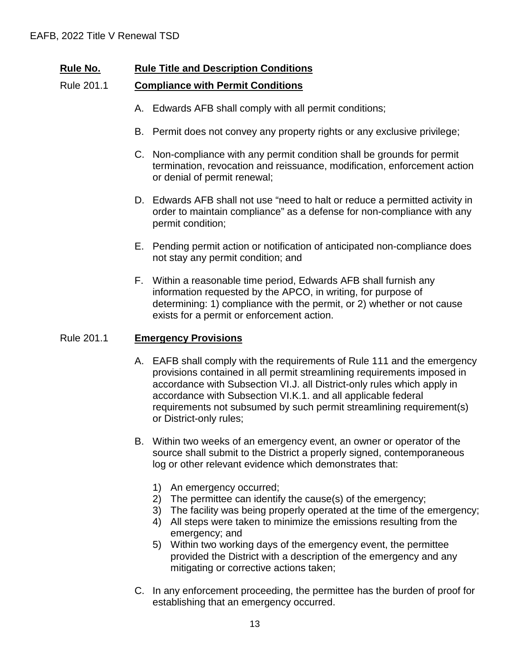### Rule 201.1 **Compliance with Permit Conditions**

- A. Edwards AFB shall comply with all permit conditions;
- B. Permit does not convey any property rights or any exclusive privilege;
- C. Non-compliance with any permit condition shall be grounds for permit termination, revocation and reissuance, modification, enforcement action or denial of permit renewal;
- D. Edwards AFB shall not use "need to halt or reduce a permitted activity in order to maintain compliance" as a defense for non-compliance with any permit condition;
- E. Pending permit action or notification of anticipated non-compliance does not stay any permit condition; and
- F. Within a reasonable time period, Edwards AFB shall furnish any information requested by the APCO, in writing, for purpose of determining: 1) compliance with the permit, or 2) whether or not cause exists for a permit or enforcement action.

### Rule 201.1 **Emergency Provisions**

- A. EAFB shall comply with the requirements of Rule 111 and the emergency provisions contained in all permit streamlining requirements imposed in accordance with Subsection VI.J. all District-only rules which apply in accordance with Subsection VI.K.1. and all applicable federal requirements not subsumed by such permit streamlining requirement(s) or District-only rules;
- B. Within two weeks of an emergency event, an owner or operator of the source shall submit to the District a properly signed, contemporaneous log or other relevant evidence which demonstrates that:
	- 1) An emergency occurred;
	- 2) The permittee can identify the cause(s) of the emergency;
	- 3) The facility was being properly operated at the time of the emergency;
	- 4) All steps were taken to minimize the emissions resulting from the emergency; and
	- 5) Within two working days of the emergency event, the permittee provided the District with a description of the emergency and any mitigating or corrective actions taken;
- C. In any enforcement proceeding, the permittee has the burden of proof for establishing that an emergency occurred.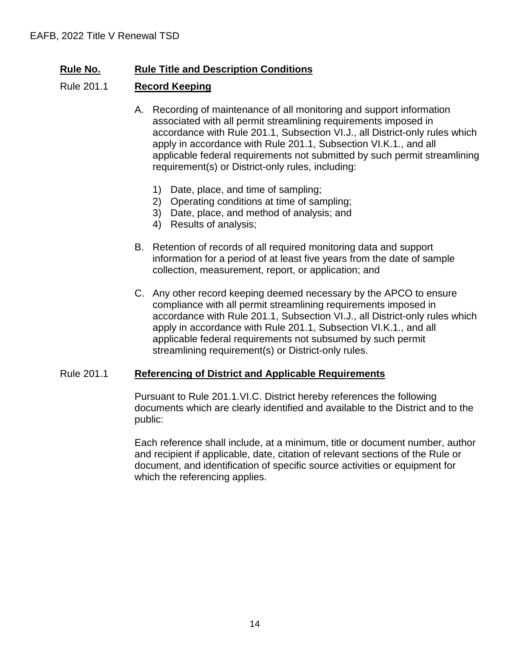### Rule 201.1 **Record Keeping**

- A. Recording of maintenance of all monitoring and support information associated with all permit streamlining requirements imposed in accordance with Rule 201.1, Subsection VI.J., all District-only rules which apply in accordance with Rule 201.1, Subsection VI.K.1., and all applicable federal requirements not submitted by such permit streamlining requirement(s) or District-only rules, including:
	- 1) Date, place, and time of sampling;
	- 2) Operating conditions at time of sampling;
	- 3) Date, place, and method of analysis; and
	- 4) Results of analysis;
- B. Retention of records of all required monitoring data and support information for a period of at least five years from the date of sample collection, measurement, report, or application; and
- C. Any other record keeping deemed necessary by the APCO to ensure compliance with all permit streamlining requirements imposed in accordance with Rule 201.1, Subsection VI.J., all District-only rules which apply in accordance with Rule 201.1, Subsection VI.K.1., and all applicable federal requirements not subsumed by such permit streamlining requirement(s) or District-only rules.

### Rule 201.1 **Referencing of District and Applicable Requirements**

Pursuant to Rule 201.1.VI.C. District hereby references the following documents which are clearly identified and available to the District and to the public:

Each reference shall include, at a minimum, title or document number, author and recipient if applicable, date, citation of relevant sections of the Rule or document, and identification of specific source activities or equipment for which the referencing applies.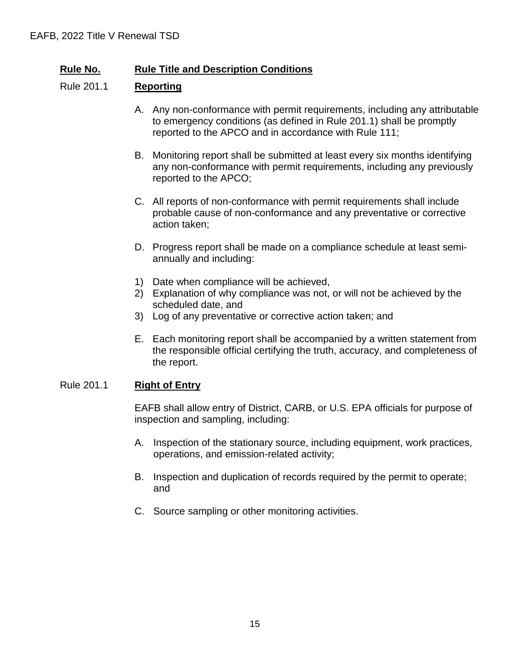### Rule 201.1 **Reporting**

- A. Any non-conformance with permit requirements, including any attributable to emergency conditions (as defined in Rule 201.1) shall be promptly reported to the APCO and in accordance with Rule 111;
- B. Monitoring report shall be submitted at least every six months identifying any non-conformance with permit requirements, including any previously reported to the APCO;
- C. All reports of non-conformance with permit requirements shall include probable cause of non-conformance and any preventative or corrective action taken;
- D. Progress report shall be made on a compliance schedule at least semiannually and including:
- 1) Date when compliance will be achieved,
- 2) Explanation of why compliance was not, or will not be achieved by the scheduled date, and
- 3) Log of any preventative or corrective action taken; and
- E. Each monitoring report shall be accompanied by a written statement from the responsible official certifying the truth, accuracy, and completeness of the report.

### Rule 201.1 **Right of Entry**

EAFB shall allow entry of District, CARB, or U.S. EPA officials for purpose of inspection and sampling, including:

- A. Inspection of the stationary source, including equipment, work practices, operations, and emission-related activity;
- B. Inspection and duplication of records required by the permit to operate; and
- C. Source sampling or other monitoring activities.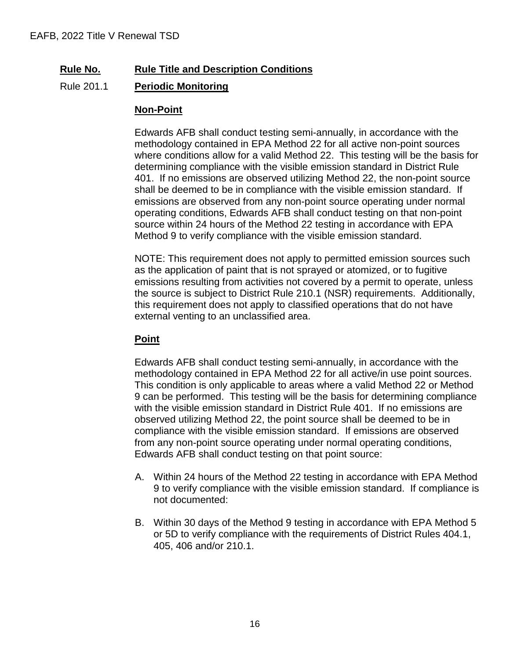## Rule 201.1 **Periodic Monitoring**

### **Non-Point**

Edwards AFB shall conduct testing semi-annually, in accordance with the methodology contained in EPA Method 22 for all active non-point sources where conditions allow for a valid Method 22. This testing will be the basis for determining compliance with the visible emission standard in District Rule 401. If no emissions are observed utilizing Method 22, the non-point source shall be deemed to be in compliance with the visible emission standard. If emissions are observed from any non-point source operating under normal operating conditions, Edwards AFB shall conduct testing on that non-point source within 24 hours of the Method 22 testing in accordance with EPA Method 9 to verify compliance with the visible emission standard.

NOTE: This requirement does not apply to permitted emission sources such as the application of paint that is not sprayed or atomized, or to fugitive emissions resulting from activities not covered by a permit to operate, unless the source is subject to District Rule 210.1 (NSR) requirements. Additionally, this requirement does not apply to classified operations that do not have external venting to an unclassified area.

### **Point**

Edwards AFB shall conduct testing semi-annually, in accordance with the methodology contained in EPA Method 22 for all active/in use point sources. This condition is only applicable to areas where a valid Method 22 or Method 9 can be performed. This testing will be the basis for determining compliance with the visible emission standard in District Rule 401. If no emissions are observed utilizing Method 22, the point source shall be deemed to be in compliance with the visible emission standard. If emissions are observed from any non-point source operating under normal operating conditions, Edwards AFB shall conduct testing on that point source:

- A. Within 24 hours of the Method 22 testing in accordance with EPA Method 9 to verify compliance with the visible emission standard. If compliance is not documented:
- B. Within 30 days of the Method 9 testing in accordance with EPA Method 5 or 5D to verify compliance with the requirements of District Rules 404.1, 405, 406 and/or 210.1.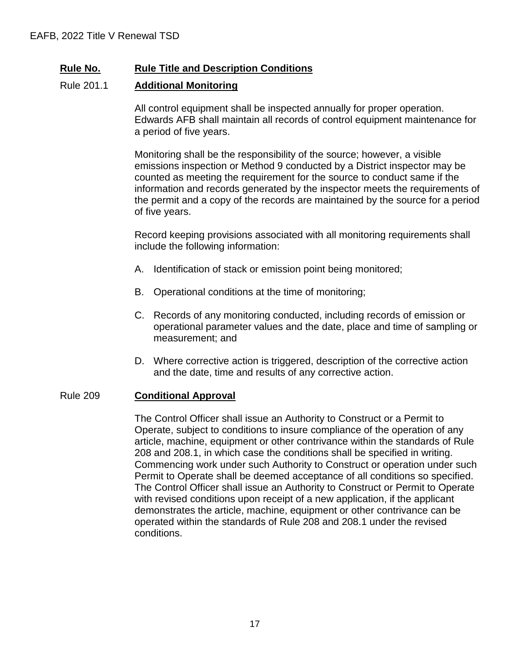### Rule 201.1 **Additional Monitoring**

All control equipment shall be inspected annually for proper operation. Edwards AFB shall maintain all records of control equipment maintenance for a period of five years.

Monitoring shall be the responsibility of the source; however, a visible emissions inspection or Method 9 conducted by a District inspector may be counted as meeting the requirement for the source to conduct same if the information and records generated by the inspector meets the requirements of the permit and a copy of the records are maintained by the source for a period of five years.

Record keeping provisions associated with all monitoring requirements shall include the following information:

- A. Identification of stack or emission point being monitored;
- B. Operational conditions at the time of monitoring;
- C. Records of any monitoring conducted, including records of emission or operational parameter values and the date, place and time of sampling or measurement; and
- D. Where corrective action is triggered, description of the corrective action and the date, time and results of any corrective action.

### Rule 209 **Conditional Approval**

The Control Officer shall issue an Authority to Construct or a Permit to Operate, subject to conditions to insure compliance of the operation of any article, machine, equipment or other contrivance within the standards of Rule 208 and 208.1, in which case the conditions shall be specified in writing. Commencing work under such Authority to Construct or operation under such Permit to Operate shall be deemed acceptance of all conditions so specified. The Control Officer shall issue an Authority to Construct or Permit to Operate with revised conditions upon receipt of a new application, if the applicant demonstrates the article, machine, equipment or other contrivance can be operated within the standards of Rule 208 and 208.1 under the revised conditions.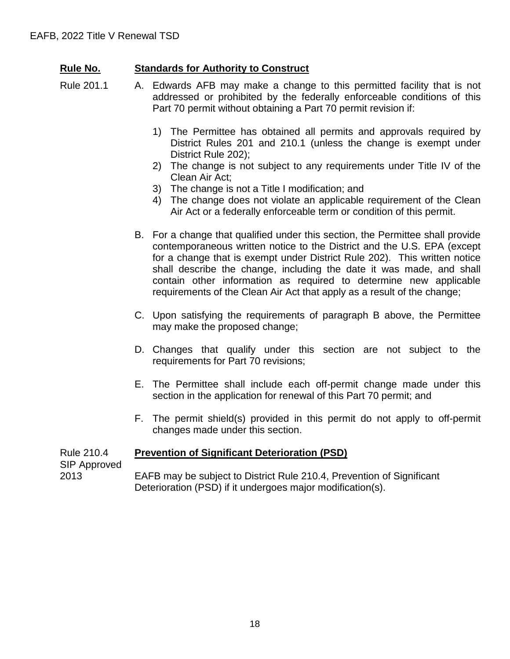## **Rule No. Standards for Authority to Construct**

- Rule 201.1 A. Edwards AFB may make a change to this permitted facility that is not addressed or prohibited by the federally enforceable conditions of this Part 70 permit without obtaining a Part 70 permit revision if:
	- 1) The Permittee has obtained all permits and approvals required by District Rules 201 and 210.1 (unless the change is exempt under District Rule 202);
	- 2) The change is not subject to any requirements under Title IV of the Clean Air Act;
	- 3) The change is not a Title I modification; and
	- 4) The change does not violate an applicable requirement of the Clean Air Act or a federally enforceable term or condition of this permit.
	- B. For a change that qualified under this section, the Permittee shall provide contemporaneous written notice to the District and the U.S. EPA (except for a change that is exempt under District Rule 202). This written notice shall describe the change, including the date it was made, and shall contain other information as required to determine new applicable requirements of the Clean Air Act that apply as a result of the change;
	- C. Upon satisfying the requirements of paragraph B above, the Permittee may make the proposed change;
	- D. Changes that qualify under this section are not subject to the requirements for Part 70 revisions;
	- E. The Permittee shall include each off-permit change made under this section in the application for renewal of this Part 70 permit; and
	- F. The permit shield(s) provided in this permit do not apply to off-permit changes made under this section.

#### Rule 210.4 **Prevention of Significant Deterioration (PSD)**

SIP Approved

2013

EAFB may be subject to District Rule 210.4, Prevention of Significant Deterioration (PSD) if it undergoes major modification(s).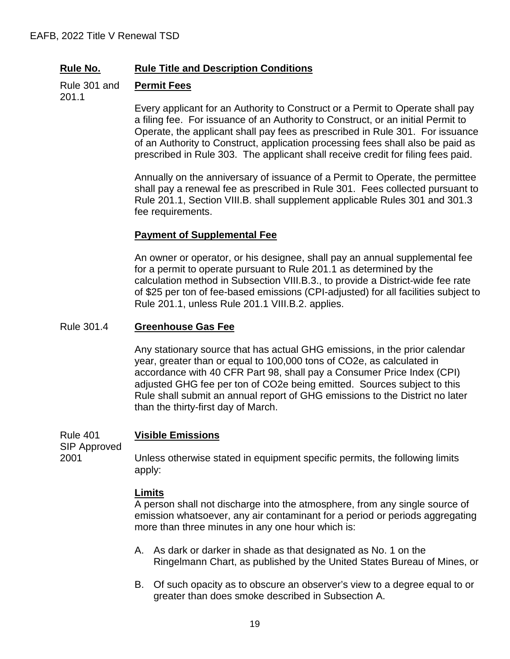Rule 301 and **Permit Fees**

201.1

Every applicant for an Authority to Construct or a Permit to Operate shall pay a filing fee. For issuance of an Authority to Construct, or an initial Permit to Operate, the applicant shall pay fees as prescribed in Rule 301. For issuance of an Authority to Construct, application processing fees shall also be paid as prescribed in Rule 303. The applicant shall receive credit for filing fees paid.

Annually on the anniversary of issuance of a Permit to Operate, the permittee shall pay a renewal fee as prescribed in Rule 301. Fees collected pursuant to Rule 201.1, Section VIII.B. shall supplement applicable Rules 301 and 301.3 fee requirements.

### **Payment of Supplemental Fee**

An owner or operator, or his designee, shall pay an annual supplemental fee for a permit to operate pursuant to Rule 201.1 as determined by the calculation method in Subsection VIII.B.3., to provide a District-wide fee rate of \$25 per ton of fee-based emissions (CPI-adjusted) for all facilities subject to Rule 201.1, unless Rule 201.1 VIII.B.2. applies.

### Rule 301.4 **Greenhouse Gas Fee**

Any stationary source that has actual GHG emissions, in the prior calendar year, greater than or equal to 100,000 tons of CO2e, as calculated in accordance with 40 CFR Part 98, shall pay a Consumer Price Index (CPI) adjusted GHG fee per ton of CO2e being emitted. Sources subject to this Rule shall submit an annual report of GHG emissions to the District no later than the thirty-first day of March.

Rule 401 **Visible Emissions**

SIP Approved 2001

Unless otherwise stated in equipment specific permits, the following limits apply:

### **Limits**

A person shall not discharge into the atmosphere, from any single source of emission whatsoever, any air contaminant for a period or periods aggregating more than three minutes in any one hour which is:

- A. As dark or darker in shade as that designated as No. 1 on the Ringelmann Chart, as published by the United States Bureau of Mines, or
- B. Of such opacity as to obscure an observer's view to a degree equal to or greater than does smoke described in Subsection A.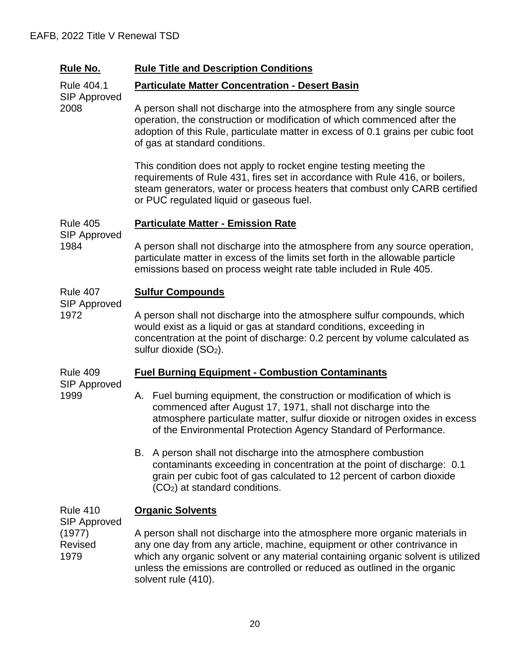| <b>Rule No.</b>                                  | <b>Rule Title and Description Conditions</b>                                                                                                                                                                                                                                                                                                   |  |  |  |  |  |
|--------------------------------------------------|------------------------------------------------------------------------------------------------------------------------------------------------------------------------------------------------------------------------------------------------------------------------------------------------------------------------------------------------|--|--|--|--|--|
| Rule 404.1                                       | <b>Particulate Matter Concentration - Desert Basin</b>                                                                                                                                                                                                                                                                                         |  |  |  |  |  |
| <b>SIP Approved</b><br>2008                      | A person shall not discharge into the atmosphere from any single source<br>operation, the construction or modification of which commenced after the<br>adoption of this Rule, particulate matter in excess of 0.1 grains per cubic foot<br>of gas at standard conditions.                                                                      |  |  |  |  |  |
|                                                  | This condition does not apply to rocket engine testing meeting the<br>requirements of Rule 431, fires set in accordance with Rule 416, or boilers,<br>steam generators, water or process heaters that combust only CARB certified<br>or PUC regulated liquid or gaseous fuel.                                                                  |  |  |  |  |  |
| <b>Rule 405</b>                                  | <b>Particulate Matter - Emission Rate</b>                                                                                                                                                                                                                                                                                                      |  |  |  |  |  |
| <b>SIP Approved</b><br>1984                      | A person shall not discharge into the atmosphere from any source operation,<br>particulate matter in excess of the limits set forth in the allowable particle<br>emissions based on process weight rate table included in Rule 405.                                                                                                            |  |  |  |  |  |
| <b>Rule 407</b>                                  | <b>Sulfur Compounds</b>                                                                                                                                                                                                                                                                                                                        |  |  |  |  |  |
| <b>SIP Approved</b><br>1972                      | A person shall not discharge into the atmosphere sulfur compounds, which<br>would exist as a liquid or gas at standard conditions, exceeding in<br>concentration at the point of discharge: 0.2 percent by volume calculated as<br>sulfur dioxide $(SO2)$ .                                                                                    |  |  |  |  |  |
| <b>Rule 409</b>                                  | <b>Fuel Burning Equipment - Combustion Contaminants</b>                                                                                                                                                                                                                                                                                        |  |  |  |  |  |
| <b>SIP Approved</b><br>1999                      | A. Fuel burning equipment, the construction or modification of which is<br>commenced after August 17, 1971, shall not discharge into the<br>atmosphere particulate matter, sulfur dioxide or nitrogen oxides in excess<br>of the Environmental Protection Agency Standard of Performance                                                       |  |  |  |  |  |
|                                                  | B. A person shall not discharge into the atmosphere combustion<br>contaminants exceeding in concentration at the point of discharge: 0.1<br>grain per cubic foot of gas calculated to 12 percent of carbon dioxide<br>(CO <sub>2</sub> ) at standard conditions.                                                                               |  |  |  |  |  |
| <b>Rule 410</b>                                  | <b>Organic Solvents</b>                                                                                                                                                                                                                                                                                                                        |  |  |  |  |  |
| <b>SIP Approved</b><br>(1977)<br>Revised<br>1979 | A person shall not discharge into the atmosphere more organic materials in<br>any one day from any article, machine, equipment or other contrivance in<br>which any organic solvent or any material containing organic solvent is utilized<br>unless the emissions are controlled or reduced as outlined in the organic<br>solvent rule (410). |  |  |  |  |  |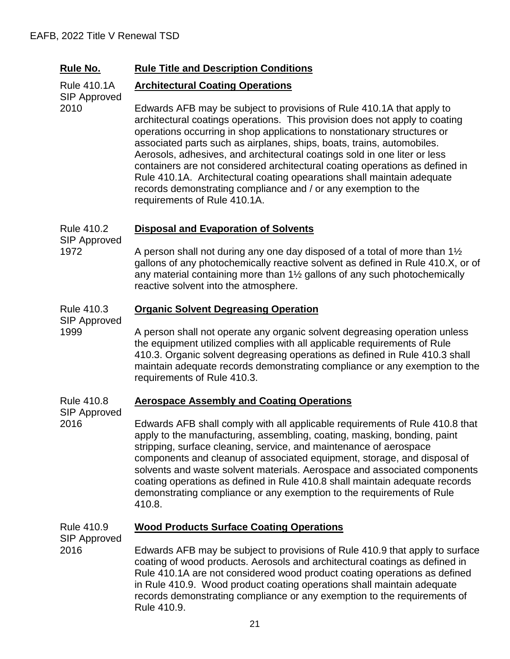|  | Rule No. | <b>Rule Title and Description Conditions</b> |
|--|----------|----------------------------------------------|
|--|----------|----------------------------------------------|

#### Rule 410.1A **Architectural Coating Operations**

SIP Approved Edwards AFB may be subject to provisions of Rule 410.1A that apply to architectural coatings operations. This provision does not apply to coating operations occurring in shop applications to nonstationary structures or associated parts such as airplanes, ships, boats, trains, automobiles. Aerosols, adhesives, and architectural coatings sold in one liter or less containers are not considered architectural coating operations as defined in Rule 410.1A. Architectural coating opearations shall maintain adequate records demonstrating compliance and / or any exemption to the requirements of Rule 410.1A.

#### Rule 410.2 **Disposal and Evaporation of Solvents**

SIP Approved 1972

2010

A person shall not during any one day disposed of a total of more than 1½ gallons of any photochemically reactive solvent as defined in Rule 410.X, or of any material containing more than 1½ gallons of any such photochemically reactive solvent into the atmosphere.

#### Rule 410.3 **Organic Solvent Degreasing Operation**

SIP Approved

1999

2016

A person shall not operate any organic solvent degreasing operation unless the equipment utilized complies with all applicable requirements of Rule 410.3. Organic solvent degreasing operations as defined in Rule 410.3 shall maintain adequate records demonstrating compliance or any exemption to the requirements of Rule 410.3.

#### Rule 410.8 **Aerospace Assembly and Coating Operations**

SIP Approved

Edwards AFB shall comply with all applicable requirements of Rule 410.8 that apply to the manufacturing, assembling, coating, masking, bonding, paint stripping, surface cleaning, service, and maintenance of aerospace components and cleanup of associated equipment, storage, and disposal of solvents and waste solvent materials. Aerospace and associated components coating operations as defined in Rule 410.8 shall maintain adequate records demonstrating compliance or any exemption to the requirements of Rule 410.8.

Rule 410.9 SIP Approved 2016 **Wood Products Surface Coating Operations**  Edwards AFB may be subject to provisions of Rule 410.9 that apply to surface coating of wood products. Aerosols and architectural coatings as defined in Rule 410.1A are not considered wood product coating operations as defined in Rule 410.9. Wood product coating operations shall maintain adequate records demonstrating compliance or any exemption to the requirements of Rule 410.9.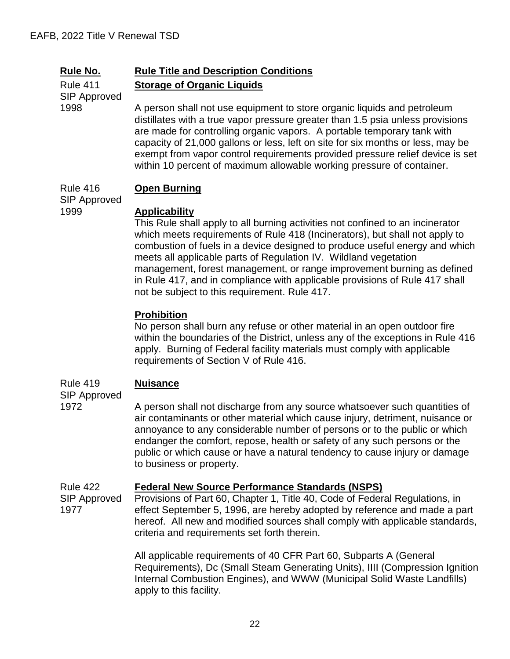## **Rule No. Rule Title and Description Conditions Storage of Organic Liquids**

Rule 411 SIP Approved 1998

A person shall not use equipment to store organic liquids and petroleum distillates with a true vapor pressure greater than 1.5 psia unless provisions are made for controlling organic vapors. A portable temporary tank with capacity of 21,000 gallons or less, left on site for six months or less, may be exempt from vapor control requirements provided pressure relief device is set within 10 percent of maximum allowable working pressure of container.

#### Rule 416 **Open Burning**

SIP Approved 1999

### **Applicability**

This Rule shall apply to all burning activities not confined to an incinerator which meets requirements of Rule 418 (Incinerators), but shall not apply to combustion of fuels in a device designed to produce useful energy and which meets all applicable parts of Regulation IV. Wildland vegetation management, forest management, or range improvement burning as defined in Rule 417, and in compliance with applicable provisions of Rule 417 shall not be subject to this requirement. Rule 417.

### **Prohibition**

No person shall burn any refuse or other material in an open outdoor fire within the boundaries of the District, unless any of the exceptions in Rule 416 apply. Burning of Federal facility materials must comply with applicable requirements of Section V of Rule 416.

#### Rule 419 **Nuisance**

SIP Approved 1972

A person shall not discharge from any source whatsoever such quantities of air contaminants or other material which cause injury, detriment, nuisance or annoyance to any considerable number of persons or to the public or which endanger the comfort, repose, health or safety of any such persons or the public or which cause or have a natural tendency to cause injury or damage to business or property.

#### Rule 422 **Federal New Source Performance Standards (NSPS)**

SIP Approved 1977 Provisions of Part 60, Chapter 1, Title 40, Code of Federal Regulations, in effect September 5, 1996, are hereby adopted by reference and made a part hereof. All new and modified sources shall comply with applicable standards, criteria and requirements set forth therein.

> All applicable requirements of 40 CFR Part 60, Subparts A (General Requirements), Dc (Small Steam Generating Units), IIII (Compression Ignition Internal Combustion Engines), and WWW (Municipal Solid Waste Landfills) apply to this facility.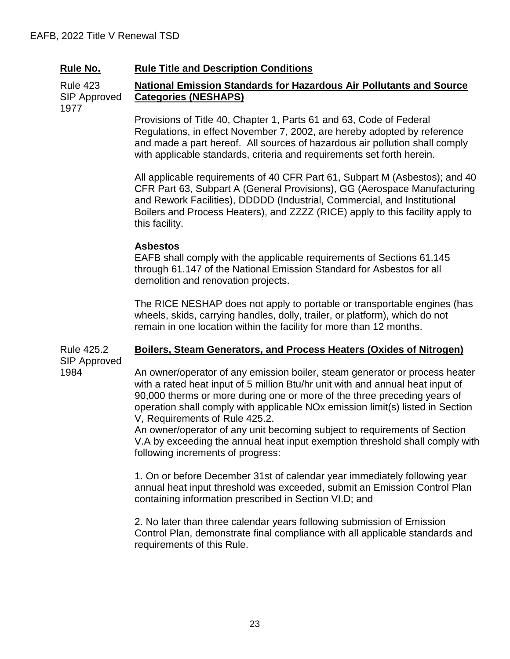Rule 423 SIP Approved **National Emission Standards for Hazardous Air Pollutants and Source Categories (NESHAPS)**

1977

Provisions of Title 40, Chapter 1, Parts 61 and 63, Code of Federal Regulations, in effect November 7, 2002, are hereby adopted by reference and made a part hereof. All sources of hazardous air pollution shall comply with applicable standards, criteria and requirements set forth herein.

All applicable requirements of 40 CFR Part 61, Subpart M (Asbestos); and 40 CFR Part 63, Subpart A (General Provisions), GG (Aerospace Manufacturing and Rework Facilities), DDDDD (Industrial, Commercial, and Institutional Boilers and Process Heaters), and ZZZZ (RICE) apply to this facility apply to this facility.

#### **Asbestos**

EAFB shall comply with the applicable requirements of Sections 61.145 through 61.147 of the National Emission Standard for Asbestos for all demolition and renovation projects.

The RICE NESHAP does not apply to portable or transportable engines (has wheels, skids, carrying handles, dolly, trailer, or platform), which do not remain in one location within the facility for more than 12 months.

#### Rule 425.2 SIP Approved 1984 **Boilers, Steam Generators, and Process Heaters (Oxides of Nitrogen)**

An owner/operator of any emission boiler, steam generator or process heater with a rated heat input of 5 million Btu/hr unit with and annual heat input of 90,000 therms or more during one or more of the three preceding years of operation shall comply with applicable NOx emission limit(s) listed in Section V, Requirements of Rule 425.2.

An owner/operator of any unit becoming subject to requirements of Section V.A by exceeding the annual heat input exemption threshold shall comply with following increments of progress:

1. On or before December 31st of calendar year immediately following year annual heat input threshold was exceeded, submit an Emission Control Plan containing information prescribed in Section VI.D; and

2. No later than three calendar years following submission of Emission Control Plan, demonstrate final compliance with all applicable standards and requirements of this Rule.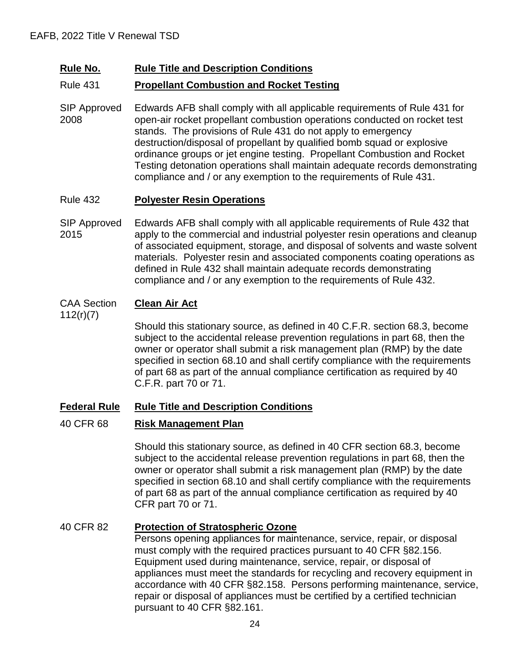#### Rule 431 **Propellant Combustion and Rocket Testing**

SIP Approved 2008 Edwards AFB shall comply with all applicable requirements of Rule 431 for open-air rocket propellant combustion operations conducted on rocket test stands. The provisions of Rule 431 do not apply to emergency destruction/disposal of propellant by qualified bomb squad or explosive ordinance groups or jet engine testing. Propellant Combustion and Rocket Testing detonation operations shall maintain adequate records demonstrating compliance and / or any exemption to the requirements of Rule 431.

#### Rule 432 **Polyester Resin Operations**

SIP Approved 2015 Edwards AFB shall comply with all applicable requirements of Rule 432 that apply to the commercial and industrial polyester resin operations and cleanup of associated equipment, storage, and disposal of solvents and waste solvent materials. Polyester resin and associated components coating operations as defined in Rule 432 shall maintain adequate records demonstrating compliance and / or any exemption to the requirements of Rule 432.

#### CAA Section **Clean Air Act**

112(r)(7)

Should this stationary source, as defined in 40 C.F.R. section 68.3, become subject to the accidental release prevention regulations in part 68, then the owner or operator shall submit a risk management plan (RMP) by the date specified in section 68.10 and shall certify compliance with the requirements of part 68 as part of the annual compliance certification as required by 40 C.F.R. part 70 or 71.

### **Federal Rule Rule Title and Description Conditions**

### 40 CFR 68 **Risk Management Plan**

Should this stationary source, as defined in 40 CFR section 68.3, become subject to the accidental release prevention regulations in part 68, then the owner or operator shall submit a risk management plan (RMP) by the date specified in section 68.10 and shall certify compliance with the requirements of part 68 as part of the annual compliance certification as required by 40 CFR part 70 or 71.

### 40 CFR 82 **Protection of Stratospheric Ozone**

Persons opening appliances for maintenance, service, repair, or disposal must comply with the required practices pursuant to 40 CFR §82.156. Equipment used during maintenance, service, repair, or disposal of appliances must meet the standards for recycling and recovery equipment in accordance with 40 CFR §82.158. Persons performing maintenance, service, repair or disposal of appliances must be certified by a certified technician pursuant to 40 CFR §82.161.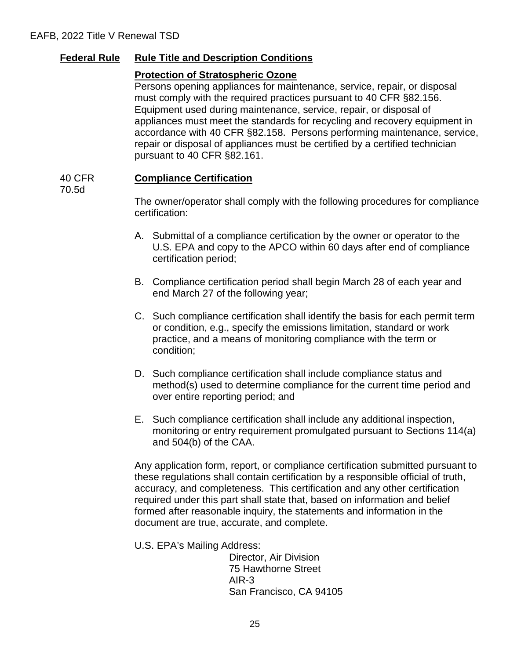## **Federal Rule Rule Title and Description Conditions**

#### **Protection of Stratospheric Ozone**

Persons opening appliances for maintenance, service, repair, or disposal must comply with the required practices pursuant to 40 CFR §82.156. Equipment used during maintenance, service, repair, or disposal of appliances must meet the standards for recycling and recovery equipment in accordance with 40 CFR §82.158. Persons performing maintenance, service, repair or disposal of appliances must be certified by a certified technician pursuant to 40 CFR §82.161.

#### 40 CFR **Compliance Certification**

70.5d

The owner/operator shall comply with the following procedures for compliance certification:

- A. Submittal of a compliance certification by the owner or operator to the U.S. EPA and copy to the APCO within 60 days after end of compliance certification period;
- B. Compliance certification period shall begin March 28 of each year and end March 27 of the following year;
- C. Such compliance certification shall identify the basis for each permit term or condition, e.g., specify the emissions limitation, standard or work practice, and a means of monitoring compliance with the term or condition;
- D. Such compliance certification shall include compliance status and method(s) used to determine compliance for the current time period and over entire reporting period; and
- E. Such compliance certification shall include any additional inspection, monitoring or entry requirement promulgated pursuant to Sections 114(a) and 504(b) of the CAA.

Any application form, report, or compliance certification submitted pursuant to these regulations shall contain certification by a responsible official of truth, accuracy, and completeness. This certification and any other certification required under this part shall state that, based on information and belief formed after reasonable inquiry, the statements and information in the document are true, accurate, and complete.

U.S. EPA's Mailing Address:

 Director, Air Division 75 Hawthorne Street AIR-3 San Francisco, CA 94105